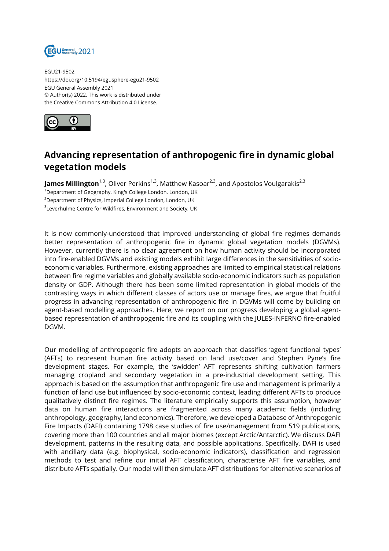

EGU21-9502 https://doi.org/10.5194/egusphere-egu21-9502 EGU General Assembly 2021 © Author(s) 2022. This work is distributed under the Creative Commons Attribution 4.0 License.



## **Advancing representation of anthropogenic fire in dynamic global vegetation models**

**James Millington**<sup>1,3</sup>, Oliver Perkins<sup>1,3</sup>, Matthew Kasoar<sup>2,3</sup>, and Apostolos Voulgarakis<sup>2,3</sup>

<sup>1</sup>Department of Geography, King's College London, London, UK

<sup>2</sup> Department of Physics, Imperial College London, London, UK

 $^3$ Leverhulme Centre for Wildfires, Environment and Society, UK

It is now commonly-understood that improved understanding of global fire regimes demands better representation of anthropogenic fire in dynamic global vegetation models (DGVMs). However, currently there is no clear agreement on how human activity should be incorporated into fire-enabled DGVMs and existing models exhibit large differences in the sensitivities of socioeconomic variables. Furthermore, existing approaches are limited to empirical statistical relations between fire regime variables and globally available socio-economic indicators such as population density or GDP. Although there has been some limited representation in global models of the contrasting ways in which different classes of actors use or manage fires, we argue that fruitful progress in advancing representation of anthropogenic fire in DGVMs will come by building on agent-based modelling approaches. Here, we report on our progress developing a global agentbased representation of anthropogenic fire and its coupling with the JULES-INFERNO fire-enabled DGVM.

Our modelling of anthropogenic fire adopts an approach that classifies 'agent functional types' (AFTs) to represent human fire activity based on land use/cover and Stephen Pyne's fire development stages. For example, the 'swidden' AFT represents shifting cultivation farmers managing cropland and secondary vegetation in a pre-industrial development setting. This approach is based on the assumption that anthropogenic fire use and management is primarily a function of land use but influenced by socio-economic context, leading different AFTs to produce qualitatively distinct fire regimes. The literature empirically supports this assumption, however data on human fire interactions are fragmented across many academic fields (including anthropology, geography, land economics). Therefore, we developed a Database of Anthropogenic Fire Impacts (DAFI) containing 1798 case studies of fire use/management from 519 publications, covering more than 100 countries and all major biomes (except Arctic/Antarctic). We discuss DAFI development, patterns in the resulting data, and possible applications. Specifically, DAFI is used with ancillary data (e.g. biophysical, socio-economic indicators), classification and regression methods to test and refine our initial AFT classification, characterise AFT fire variables, and distribute AFTs spatially. Our model will then simulate AFT distributions for alternative scenarios of